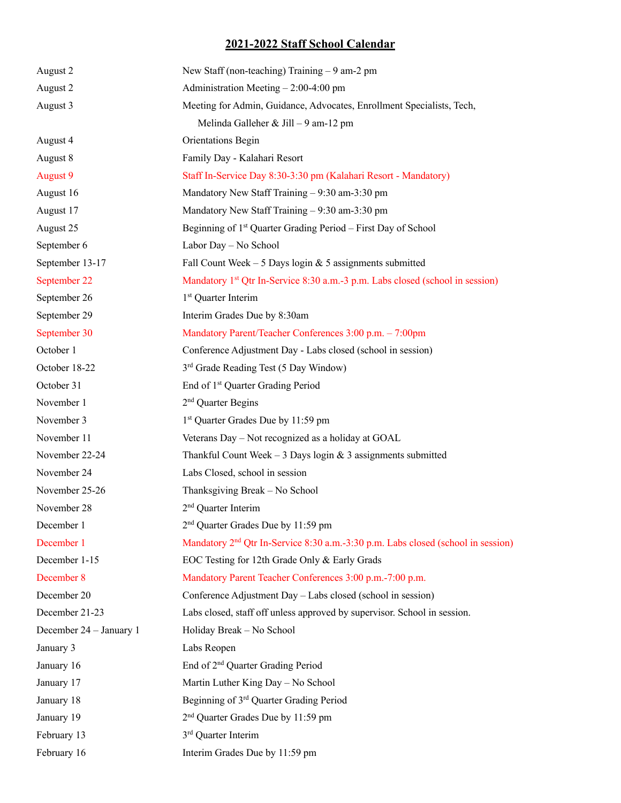## **2021-2022 Staff School Calendar**

| August 2                | New Staff (non-teaching) Training $-9$ am-2 pm                                               |
|-------------------------|----------------------------------------------------------------------------------------------|
| August 2                | Administration Meeting $-2:00-4:00$ pm                                                       |
| August 3                | Meeting for Admin, Guidance, Advocates, Enrollment Specialists, Tech,                        |
|                         | Melinda Galleher & Jill - 9 am-12 pm                                                         |
| August 4                | Orientations Begin                                                                           |
| August 8                | Family Day - Kalahari Resort                                                                 |
| August 9                | Staff In-Service Day 8:30-3:30 pm (Kalahari Resort - Mandatory)                              |
| August 16               | Mandatory New Staff Training - 9:30 am-3:30 pm                                               |
| August 17               | Mandatory New Staff Training - 9:30 am-3:30 pm                                               |
| August 25               | Beginning of 1 <sup>st</sup> Quarter Grading Period – First Day of School                    |
| September 6             | Labor Day - No School                                                                        |
| September 13-17         | Fall Count Week $-5$ Days login & 5 assignments submitted                                    |
| September 22            | Mandatory 1 <sup>st</sup> Qtr In-Service 8:30 a.m.-3 p.m. Labs closed (school in session)    |
| September 26            | 1 <sup>st</sup> Quarter Interim                                                              |
| September 29            | Interim Grades Due by 8:30am                                                                 |
| September 30            | Mandatory Parent/Teacher Conferences 3:00 p.m. - 7:00pm                                      |
| October 1               | Conference Adjustment Day - Labs closed (school in session)                                  |
| October 18-22           | 3 <sup>rd</sup> Grade Reading Test (5 Day Window)                                            |
| October 31              | End of 1 <sup>st</sup> Quarter Grading Period                                                |
| November 1              | 2 <sup>nd</sup> Quarter Begins                                                               |
| November 3              | 1 <sup>st</sup> Quarter Grades Due by 11:59 pm                                               |
| November 11             | Veterans Day - Not recognized as a holiday at GOAL                                           |
| November 22-24          | Thankful Count Week - 3 Days login & 3 assignments submitted                                 |
| November 24             | Labs Closed, school in session                                                               |
| November 25-26          | Thanksgiving Break - No School                                                               |
| November 28             | 2 <sup>nd</sup> Quarter Interim                                                              |
| December 1              | 2 <sup>nd</sup> Quarter Grades Due by 11:59 pm                                               |
| December 1              | Mandatory 2 <sup>nd</sup> Qtr In-Service 8:30 a.m.-3:30 p.m. Labs closed (school in session) |
| December 1-15           | EOC Testing for 12th Grade Only & Early Grads                                                |
| December 8              | Mandatory Parent Teacher Conferences 3:00 p.m.-7:00 p.m.                                     |
| December 20             | Conference Adjustment Day - Labs closed (school in session)                                  |
| December 21-23          | Labs closed, staff off unless approved by supervisor. School in session.                     |
| December 24 - January 1 | Holiday Break - No School                                                                    |
| January 3               | Labs Reopen                                                                                  |
| January 16              | End of 2 <sup>nd</sup> Quarter Grading Period                                                |
| January 17              | Martin Luther King Day - No School                                                           |
| January 18              | Beginning of 3rd Quarter Grading Period                                                      |
| January 19              | 2 <sup>nd</sup> Quarter Grades Due by 11:59 pm                                               |
| February 13             | 3rd Quarter Interim                                                                          |
| February 16             | Interim Grades Due by 11:59 pm                                                               |